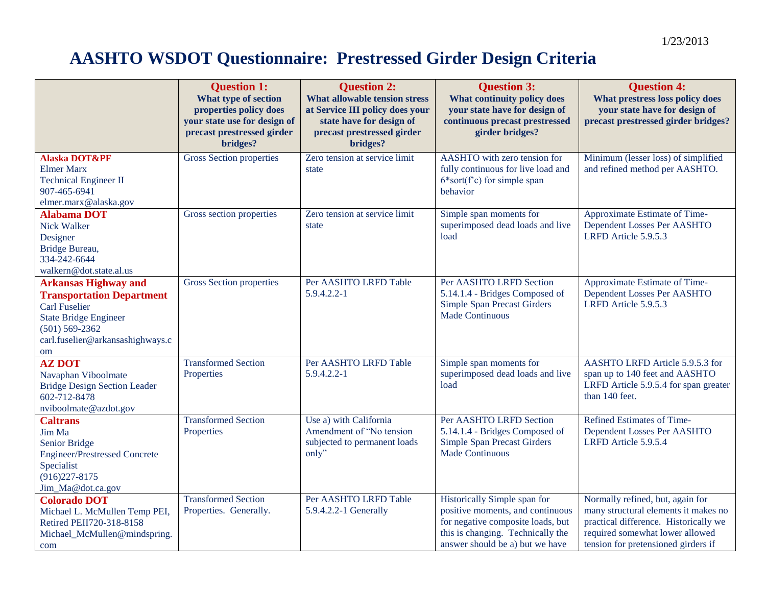## **AASHTO WSDOT Questionnaire: Prestressed Girder Design Criteria**

|                                                                                                                                                                                         | <b>Question 1:</b><br>What type of section<br>properties policy does<br>your state use for design of | <b>Question 2:</b><br>What allowable tension stress<br>at Service III policy does your<br>state have for design of | <b>Question 3:</b><br>What continuity policy does<br>your state have for design of<br>continuous precast prestressed                                                          | <b>Question 4:</b><br>What prestress loss policy does<br>your state have for design of<br>precast prestressed girder bridges?                                                               |
|-----------------------------------------------------------------------------------------------------------------------------------------------------------------------------------------|------------------------------------------------------------------------------------------------------|--------------------------------------------------------------------------------------------------------------------|-------------------------------------------------------------------------------------------------------------------------------------------------------------------------------|---------------------------------------------------------------------------------------------------------------------------------------------------------------------------------------------|
|                                                                                                                                                                                         | precast prestressed girder<br>bridges?                                                               | precast prestressed girder<br>bridges?                                                                             | girder bridges?                                                                                                                                                               |                                                                                                                                                                                             |
| <b>Alaska DOT&amp;PF</b><br><b>Elmer Marx</b><br><b>Technical Engineer II</b><br>907-465-6941<br>elmer.marx@alaska.gov                                                                  | <b>Gross Section properties</b>                                                                      | Zero tension at service limit<br>state                                                                             | AASHTO with zero tension for<br>fully continuous for live load and<br>$6*sort(f^c)$ for simple span<br>behavior                                                               | Minimum (lesser loss) of simplified<br>and refined method per AASHTO.                                                                                                                       |
| <b>Alabama DOT</b><br><b>Nick Walker</b><br>Designer<br>Bridge Bureau,<br>334-242-6644<br>walkern@dot.state.al.us                                                                       | Gross section properties                                                                             | Zero tension at service limit<br>state                                                                             | Simple span moments for<br>superimposed dead loads and live<br>load                                                                                                           | Approximate Estimate of Time-<br>Dependent Losses Per AASHTO<br>LRFD Article 5.9.5.3                                                                                                        |
| <b>Arkansas Highway and</b><br><b>Transportation Department</b><br><b>Carl Fuselier</b><br><b>State Bridge Engineer</b><br>$(501) 569 - 2362$<br>carl.fuselier@arkansashighways.c<br>om | <b>Gross Section properties</b>                                                                      | Per AASHTO LRFD Table<br>5.9.4.2.2-1                                                                               | Per AASHTO LRFD Section<br>5.14.1.4 - Bridges Composed of<br><b>Simple Span Precast Girders</b><br><b>Made Continuous</b>                                                     | Approximate Estimate of Time-<br>Dependent Losses Per AASHTO<br>LRFD Article 5.9.5.3                                                                                                        |
| <b>AZ DOT</b><br>Navaphan Viboolmate<br><b>Bridge Design Section Leader</b><br>602-712-8478<br>nviboolmate@azdot.gov                                                                    | <b>Transformed Section</b><br>Properties                                                             | Per AASHTO LRFD Table<br>$5.9.4.2.2 - 1$                                                                           | Simple span moments for<br>superimposed dead loads and live<br>load                                                                                                           | AASHTO LRFD Article 5.9.5.3 for<br>span up to 140 feet and AASHTO<br>LRFD Article 5.9.5.4 for span greater<br>than 140 feet.                                                                |
| <b>Caltrans</b><br>Jim Ma<br>Senior Bridge<br><b>Engineer/Prestressed Concrete</b><br>Specialist<br>$(916)227 - 8175$<br>Jim_Ma@dot.ca.gov                                              | <b>Transformed Section</b><br>Properties                                                             | Use a) with California<br>Amendment of "No tension<br>subjected to permanent loads<br>only"                        | Per AASHTO LRFD Section<br>5.14.1.4 - Bridges Composed of<br><b>Simple Span Precast Girders</b><br><b>Made Continuous</b>                                                     | Refined Estimates of Time-<br>Dependent Losses Per AASHTO<br>LRFD Article 5.9.5.4                                                                                                           |
| <b>Colorado DOT</b><br>Michael L. McMullen Temp PEI,<br>Retired PEII720-318-8158<br>Michael_McMullen@mindspring.<br>com                                                                 | <b>Transformed Section</b><br>Properties. Generally.                                                 | Per AASHTO LRFD Table<br>5.9.4.2.2-1 Generally                                                                     | Historically Simple span for<br>positive moments, and continuous<br>for negative composite loads, but<br>this is changing. Technically the<br>answer should be a) but we have | Normally refined, but, again for<br>many structural elements it makes no<br>practical difference. Historically we<br>required somewhat lower allowed<br>tension for pretensioned girders if |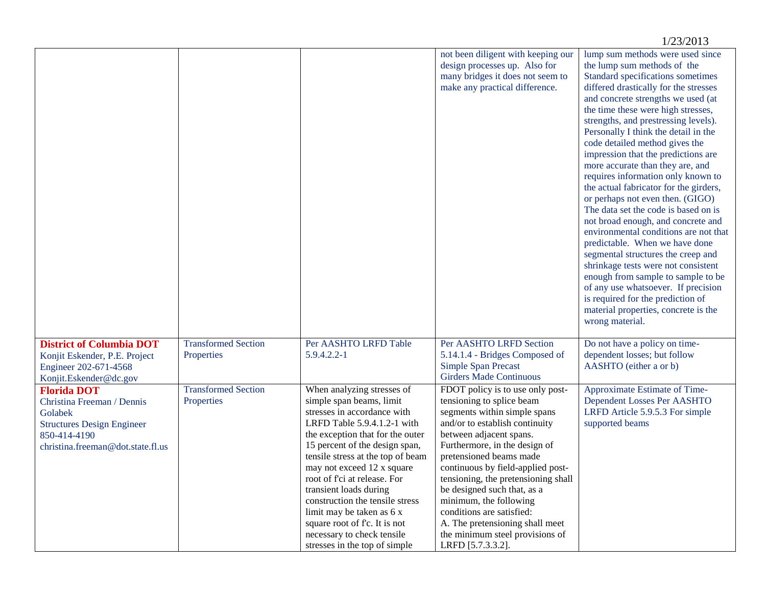|                                                                                                                                                       |                                          |                                                                                                                                                                                                                                                                                                                                                                                                                                                                                         |                                                                                                                                                                                                                                                                                                                                                                                                                                                                                     | 1/23/2013                                                                                                                                                                                                                                                                                                                                                                                                                                                                                                                                                                                                                                                                                                                                                                                                                                                                                                                                                     |
|-------------------------------------------------------------------------------------------------------------------------------------------------------|------------------------------------------|-----------------------------------------------------------------------------------------------------------------------------------------------------------------------------------------------------------------------------------------------------------------------------------------------------------------------------------------------------------------------------------------------------------------------------------------------------------------------------------------|-------------------------------------------------------------------------------------------------------------------------------------------------------------------------------------------------------------------------------------------------------------------------------------------------------------------------------------------------------------------------------------------------------------------------------------------------------------------------------------|---------------------------------------------------------------------------------------------------------------------------------------------------------------------------------------------------------------------------------------------------------------------------------------------------------------------------------------------------------------------------------------------------------------------------------------------------------------------------------------------------------------------------------------------------------------------------------------------------------------------------------------------------------------------------------------------------------------------------------------------------------------------------------------------------------------------------------------------------------------------------------------------------------------------------------------------------------------|
|                                                                                                                                                       |                                          |                                                                                                                                                                                                                                                                                                                                                                                                                                                                                         | not been diligent with keeping our<br>design processes up. Also for<br>many bridges it does not seem to<br>make any practical difference.                                                                                                                                                                                                                                                                                                                                           | lump sum methods were used since<br>the lump sum methods of the<br>Standard specifications sometimes<br>differed drastically for the stresses<br>and concrete strengths we used (at<br>the time these were high stresses,<br>strengths, and prestressing levels).<br>Personally I think the detail in the<br>code detailed method gives the<br>impression that the predictions are<br>more accurate than they are, and<br>requires information only known to<br>the actual fabricator for the girders,<br>or perhaps not even then. (GIGO)<br>The data set the code is based on is<br>not broad enough, and concrete and<br>environmental conditions are not that<br>predictable. When we have done<br>segmental structures the creep and<br>shrinkage tests were not consistent<br>enough from sample to sample to be<br>of any use whatsoever. If precision<br>is required for the prediction of<br>material properties, concrete is the<br>wrong material. |
| <b>District of Columbia DOT</b><br>Konjit Eskender, P.E. Project<br>Engineer 202-671-4568<br>Konjit.Eskender@dc.gov                                   | <b>Transformed Section</b><br>Properties | Per AASHTO LRFD Table<br>5.9.4.2.2-1                                                                                                                                                                                                                                                                                                                                                                                                                                                    | Per AASHTO LRFD Section<br>5.14.1.4 - Bridges Composed of<br>Simple Span Precast<br><b>Girders Made Continuous</b>                                                                                                                                                                                                                                                                                                                                                                  | Do not have a policy on time-<br>dependent losses; but follow<br>AASHTO (either a or b)                                                                                                                                                                                                                                                                                                                                                                                                                                                                                                                                                                                                                                                                                                                                                                                                                                                                       |
| <b>Florida DOT</b><br>Christina Freeman / Dennis<br>Golabek<br><b>Structures Design Engineer</b><br>850-414-4190<br>christina.freeman@dot.state.fl.us | <b>Transformed Section</b><br>Properties | When analyzing stresses of<br>simple span beams, limit<br>stresses in accordance with<br>LRFD Table 5.9.4.1.2-1 with<br>the exception that for the outer<br>15 percent of the design span,<br>tensile stress at the top of beam<br>may not exceed 12 x square<br>root of f'ci at release. For<br>transient loads during<br>construction the tensile stress<br>limit may be taken as 6 x<br>square root of f'c. It is not<br>necessary to check tensile<br>stresses in the top of simple | FDOT policy is to use only post-<br>tensioning to splice beam<br>segments within simple spans<br>and/or to establish continuity<br>between adjacent spans.<br>Furthermore, in the design of<br>pretensioned beams made<br>continuous by field-applied post-<br>tensioning, the pretensioning shall<br>be designed such that, as a<br>minimum, the following<br>conditions are satisfied:<br>A. The pretensioning shall meet<br>the minimum steel provisions of<br>LRFD [5.7.3.3.2]. | Approximate Estimate of Time-<br>Dependent Losses Per AASHTO<br>LRFD Article 5.9.5.3 For simple<br>supported beams                                                                                                                                                                                                                                                                                                                                                                                                                                                                                                                                                                                                                                                                                                                                                                                                                                            |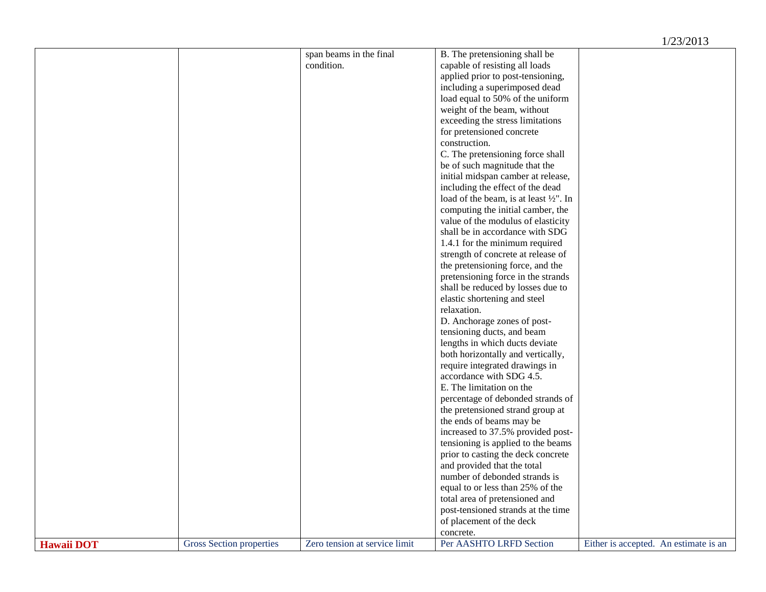## 1/23/2013

|                   |                          | span beams in the final       | B. The pretensioning shall be                     |                                       |
|-------------------|--------------------------|-------------------------------|---------------------------------------------------|---------------------------------------|
|                   |                          | condition.                    | capable of resisting all loads                    |                                       |
|                   |                          |                               | applied prior to post-tensioning,                 |                                       |
|                   |                          |                               | including a superimposed dead                     |                                       |
|                   |                          |                               | load equal to 50% of the uniform                  |                                       |
|                   |                          |                               | weight of the beam, without                       |                                       |
|                   |                          |                               | exceeding the stress limitations                  |                                       |
|                   |                          |                               | for pretensioned concrete                         |                                       |
|                   |                          |                               | construction.                                     |                                       |
|                   |                          |                               | C. The pretensioning force shall                  |                                       |
|                   |                          |                               | be of such magnitude that the                     |                                       |
|                   |                          |                               | initial midspan camber at release,                |                                       |
|                   |                          |                               | including the effect of the dead                  |                                       |
|                   |                          |                               | load of the beam, is at least $\frac{1}{2}$ ". In |                                       |
|                   |                          |                               | computing the initial camber, the                 |                                       |
|                   |                          |                               | value of the modulus of elasticity                |                                       |
|                   |                          |                               | shall be in accordance with SDG                   |                                       |
|                   |                          |                               | 1.4.1 for the minimum required                    |                                       |
|                   |                          |                               |                                                   |                                       |
|                   |                          |                               | strength of concrete at release of                |                                       |
|                   |                          |                               | the pretensioning force, and the                  |                                       |
|                   |                          |                               | pretensioning force in the strands                |                                       |
|                   |                          |                               | shall be reduced by losses due to                 |                                       |
|                   |                          |                               | elastic shortening and steel                      |                                       |
|                   |                          |                               | relaxation.                                       |                                       |
|                   |                          |                               | D. Anchorage zones of post-                       |                                       |
|                   |                          |                               | tensioning ducts, and beam                        |                                       |
|                   |                          |                               | lengths in which ducts deviate                    |                                       |
|                   |                          |                               | both horizontally and vertically,                 |                                       |
|                   |                          |                               | require integrated drawings in                    |                                       |
|                   |                          |                               | accordance with SDG 4.5.                          |                                       |
|                   |                          |                               | E. The limitation on the                          |                                       |
|                   |                          |                               | percentage of debonded strands of                 |                                       |
|                   |                          |                               | the pretensioned strand group at                  |                                       |
|                   |                          |                               | the ends of beams may be                          |                                       |
|                   |                          |                               | increased to 37.5% provided post-                 |                                       |
|                   |                          |                               | tensioning is applied to the beams                |                                       |
|                   |                          |                               | prior to casting the deck concrete                |                                       |
|                   |                          |                               | and provided that the total                       |                                       |
|                   |                          |                               | number of debonded strands is                     |                                       |
|                   |                          |                               | equal to or less than 25% of the                  |                                       |
|                   |                          |                               | total area of pretensioned and                    |                                       |
|                   |                          |                               | post-tensioned strands at the time                |                                       |
|                   |                          |                               | of placement of the deck                          |                                       |
|                   |                          |                               | concrete.                                         |                                       |
| <b>Hawaii DOT</b> | Gross Section properties | Zero tension at service limit | Per AASHTO LRFD Section                           | Either is accepted. An estimate is an |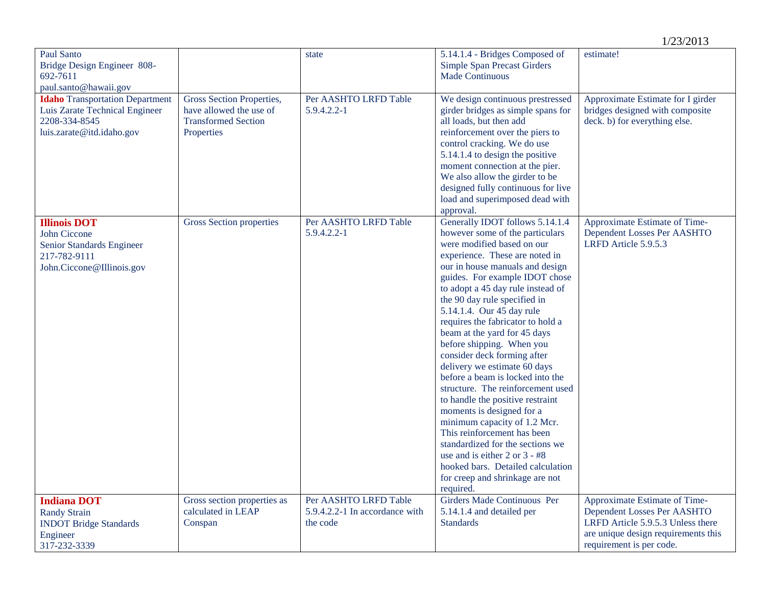|                                                                                                                        |                                                                                                  |                                                                     |                                                                                                                                                                                                                                                                                                                                                                                                                                                                                                                                                                                                                                                                                                                                                                                                                                               | 1/23/2013                                                                                                                                                            |
|------------------------------------------------------------------------------------------------------------------------|--------------------------------------------------------------------------------------------------|---------------------------------------------------------------------|-----------------------------------------------------------------------------------------------------------------------------------------------------------------------------------------------------------------------------------------------------------------------------------------------------------------------------------------------------------------------------------------------------------------------------------------------------------------------------------------------------------------------------------------------------------------------------------------------------------------------------------------------------------------------------------------------------------------------------------------------------------------------------------------------------------------------------------------------|----------------------------------------------------------------------------------------------------------------------------------------------------------------------|
| Paul Santo<br>Bridge Design Engineer 808-<br>692-7611<br>paul.santo@hawaii.gov                                         |                                                                                                  | state                                                               | 5.14.1.4 - Bridges Composed of<br><b>Simple Span Precast Girders</b><br><b>Made Continuous</b>                                                                                                                                                                                                                                                                                                                                                                                                                                                                                                                                                                                                                                                                                                                                                | estimate!                                                                                                                                                            |
| <b>Idaho</b> Transportation Department<br>Luis Zarate Technical Engineer<br>2208-334-8545<br>luis.zarate@itd.idaho.gov | Gross Section Properties,<br>have allowed the use of<br><b>Transformed Section</b><br>Properties | Per AASHTO LRFD Table<br>5.9.4.2.2-1                                | We design continuous prestressed<br>girder bridges as simple spans for<br>all loads, but then add<br>reinforcement over the piers to<br>control cracking. We do use<br>5.14.1.4 to design the positive<br>moment connection at the pier.<br>We also allow the girder to be<br>designed fully continuous for live<br>load and superimposed dead with<br>approval.                                                                                                                                                                                                                                                                                                                                                                                                                                                                              | Approximate Estimate for I girder<br>bridges designed with composite<br>deck. b) for everything else.                                                                |
| <b>Illinois DOT</b><br><b>John Ciccone</b><br>Senior Standards Engineer<br>217-782-9111<br>John.Ciccone@Illinois.gov   | Gross Section properties                                                                         | Per AASHTO LRFD Table<br>5.9.4.2.2-1                                | Generally IDOT follows 5.14.1.4<br>however some of the particulars<br>were modified based on our<br>experience. These are noted in<br>our in house manuals and design<br>guides. For example IDOT chose<br>to adopt a 45 day rule instead of<br>the 90 day rule specified in<br>5.14.1.4. Our 45 day rule<br>requires the fabricator to hold a<br>beam at the yard for 45 days<br>before shipping. When you<br>consider deck forming after<br>delivery we estimate 60 days<br>before a beam is locked into the<br>structure. The reinforcement used<br>to handle the positive restraint<br>moments is designed for a<br>minimum capacity of 1.2 Mcr.<br>This reinforcement has been<br>standardized for the sections we<br>use and is either 2 or 3 - #8<br>hooked bars. Detailed calculation<br>for creep and shrinkage are not<br>required. | Approximate Estimate of Time-<br>Dependent Losses Per AASHTO<br>LRFD Article 5.9.5.3                                                                                 |
| <b>Indiana DOT</b><br><b>Randy Strain</b><br><b>INDOT Bridge Standards</b><br>Engineer<br>317-232-3339                 | Gross section properties as<br>calculated in LEAP<br>Conspan                                     | Per AASHTO LRFD Table<br>5.9.4.2.2-1 In accordance with<br>the code | Girders Made Continuous Per<br>5.14.1.4 and detailed per<br><b>Standards</b>                                                                                                                                                                                                                                                                                                                                                                                                                                                                                                                                                                                                                                                                                                                                                                  | Approximate Estimate of Time-<br>Dependent Losses Per AASHTO<br>LRFD Article 5.9.5.3 Unless there<br>are unique design requirements this<br>requirement is per code. |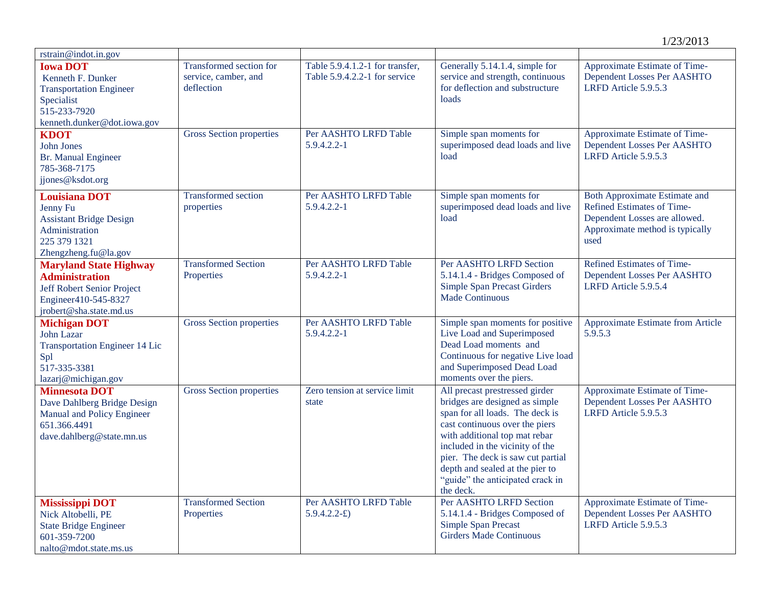| rstrain@indot.in.gov                                                                                                                    |                                                               |                                                                  |                                                                                                                                                                                                                                                                                                                                    |                                                                                                                                                |
|-----------------------------------------------------------------------------------------------------------------------------------------|---------------------------------------------------------------|------------------------------------------------------------------|------------------------------------------------------------------------------------------------------------------------------------------------------------------------------------------------------------------------------------------------------------------------------------------------------------------------------------|------------------------------------------------------------------------------------------------------------------------------------------------|
| <b>Iowa DOT</b><br>Kenneth F. Dunker<br><b>Transportation Engineer</b><br>Specialist<br>515-233-7920<br>kenneth.dunker@dot.iowa.gov     | Transformed section for<br>service, camber, and<br>deflection | Table 5.9.4.1.2-1 for transfer,<br>Table 5.9.4.2.2-1 for service | Generally 5.14.1.4, simple for<br>service and strength, continuous<br>for deflection and substructure<br>loads                                                                                                                                                                                                                     | Approximate Estimate of Time-<br>Dependent Losses Per AASHTO<br>LRFD Article 5.9.5.3                                                           |
| <b>KDOT</b><br>John Jones<br>Br. Manual Engineer<br>785-368-7175<br>jjones@ksdot.org                                                    | <b>Gross Section properties</b>                               | Per AASHTO LRFD Table<br>5.9.4.2.2-1                             | Simple span moments for<br>superimposed dead loads and live<br>load                                                                                                                                                                                                                                                                | Approximate Estimate of Time-<br>Dependent Losses Per AASHTO<br>LRFD Article 5.9.5.3                                                           |
| <b>Louisiana DOT</b><br>Jenny Fu<br><b>Assistant Bridge Design</b><br>Administration<br>225 379 1321<br>Zhengzheng.fu@la.gov            | <b>Transformed</b> section<br>properties                      | Per AASHTO LRFD Table<br>5.9.4.2.2-1                             | Simple span moments for<br>superimposed dead loads and live<br>load                                                                                                                                                                                                                                                                | <b>Both Approximate Estimate and</b><br>Refined Estimates of Time-<br>Dependent Losses are allowed.<br>Approximate method is typically<br>used |
| <b>Maryland State Highway</b><br><b>Administration</b><br>Jeff Robert Senior Project<br>Engineer410-545-8327<br>jrobert@sha.state.md.us | <b>Transformed Section</b><br>Properties                      | Per AASHTO LRFD Table<br>$5.9.4.2.2 - 1$                         | Per AASHTO LRFD Section<br>5.14.1.4 - Bridges Composed of<br><b>Simple Span Precast Girders</b><br><b>Made Continuous</b>                                                                                                                                                                                                          | Refined Estimates of Time-<br>Dependent Losses Per AASHTO<br>LRFD Article 5.9.5.4                                                              |
| <b>Michigan DOT</b><br>John Lazar<br><b>Transportation Engineer 14 Lic</b><br>Spl<br>517-335-3381<br>lazarj@michigan.gov                | Gross Section properties                                      | Per AASHTO LRFD Table<br>5.9.4.2.2-1                             | Simple span moments for positive<br>Live Load and Superimposed<br>Dead Load moments and<br>Continuous for negative Live load<br>and Superimposed Dead Load<br>moments over the piers.                                                                                                                                              | Approximate Estimate from Article<br>5.9.5.3                                                                                                   |
| <b>Minnesota DOT</b><br>Dave Dahlberg Bridge Design<br>Manual and Policy Engineer<br>651.366.4491<br>dave.dahlberg@state.mn.us          | Gross Section properties                                      | Zero tension at service limit<br>state                           | All precast prestressed girder<br>bridges are designed as simple<br>span for all loads. The deck is<br>cast continuous over the piers<br>with additional top mat rebar<br>included in the vicinity of the<br>pier. The deck is saw cut partial<br>depth and sealed at the pier to<br>"guide" the anticipated crack in<br>the deck. | Approximate Estimate of Time-<br>Dependent Losses Per AASHTO<br>LRFD Article 5.9.5.3                                                           |
| Mississippi DOT<br>Nick Altobelli, PE<br><b>State Bridge Engineer</b><br>601-359-7200<br>nalto@mdot.state.ms.us                         | <b>Transformed Section</b><br>Properties                      | Per AASHTO LRFD Table<br>$5.9.4.2.2 - E$                         | Per AASHTO LRFD Section<br>5.14.1.4 - Bridges Composed of<br><b>Simple Span Precast</b><br><b>Girders Made Continuous</b>                                                                                                                                                                                                          | Approximate Estimate of Time-<br>Dependent Losses Per AASHTO<br>LRFD Article 5.9.5.3                                                           |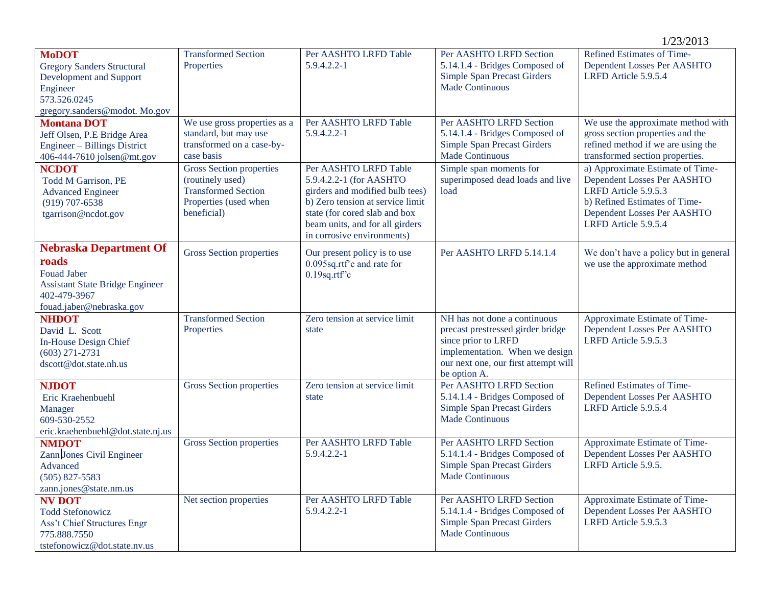|                                                                                                                                                    |                                                                                                                           |                                                                                                                                                                                                                           |                                                                                                                                                                                    | 1/23/2013                                                                                                                                                                       |
|----------------------------------------------------------------------------------------------------------------------------------------------------|---------------------------------------------------------------------------------------------------------------------------|---------------------------------------------------------------------------------------------------------------------------------------------------------------------------------------------------------------------------|------------------------------------------------------------------------------------------------------------------------------------------------------------------------------------|---------------------------------------------------------------------------------------------------------------------------------------------------------------------------------|
| <b>MoDOT</b><br><b>Gregory Sanders Structural</b><br>Development and Support<br>Engineer<br>573.526.0245<br>gregory.sanders@modot.Mo.gov           | <b>Transformed Section</b><br>Properties                                                                                  | Per AASHTO LRFD Table<br>5.9.4.2.2-1                                                                                                                                                                                      | Per AASHTO LRFD Section<br>5.14.1.4 - Bridges Composed of<br><b>Simple Span Precast Girders</b><br><b>Made Continuous</b>                                                          | Refined Estimates of Time-<br>Dependent Losses Per AASHTO<br>LRFD Article 5.9.5.4                                                                                               |
| <b>Montana DOT</b><br>Jeff Olsen, P.E Bridge Area<br>Engineer - Billings District<br>406-444-7610 jolsen@mt.gov                                    | We use gross properties as a<br>standard, but may use<br>transformed on a case-by-<br>case basis                          | Per AASHTO LRFD Table<br>5.9.4.2.2-1                                                                                                                                                                                      | Per AASHTO LRFD Section<br>5.14.1.4 - Bridges Composed of<br><b>Simple Span Precast Girders</b><br><b>Made Continuous</b>                                                          | We use the approximate method with<br>gross section properties and the<br>refined method if we are using the<br>transformed section properties.                                 |
| <b>NCDOT</b><br><b>Todd M Garrison, PE</b><br><b>Advanced Engineer</b><br>$(919)$ 707-6538<br>tgarrison@ncdot.gov                                  | <b>Gross Section properties</b><br>(routinely used)<br><b>Transformed Section</b><br>Properties (used when<br>beneficial) | Per AASHTO LRFD Table<br>5.9.4.2.2-1 (for AASHTO<br>girders and modified bulb tees)<br>b) Zero tension at service limit<br>state (for cored slab and box<br>beam units, and for all girders<br>in corrosive environments) | Simple span moments for<br>superimposed dead loads and live<br>load                                                                                                                | a) Approximate Estimate of Time-<br>Dependent Losses Per AASHTO<br>LRFD Article 5.9.5.3<br>b) Refined Estimates of Time-<br>Dependent Losses Per AASHTO<br>LRFD Article 5.9.5.4 |
| <b>Nebraska Department Of</b><br>roads<br><b>Fouad Jaber</b><br><b>Assistant State Bridge Engineer</b><br>402-479-3967<br>fouad.jaber@nebraska.gov | <b>Gross Section properties</b>                                                                                           | Our present policy is to use<br>0.095sq.rtf'c and rate for<br>$0.19$ sq.rtf"c                                                                                                                                             | Per AASHTO LRFD 5.14.1.4                                                                                                                                                           | We don't have a policy but in general<br>we use the approximate method                                                                                                          |
| <b>NHDOT</b><br>David L. Scott<br><b>In-House Design Chief</b><br>$(603)$ 271-2731<br>dscott@dot.state.nh.us                                       | <b>Transformed Section</b><br>Properties                                                                                  | Zero tension at service limit<br>state                                                                                                                                                                                    | NH has not done a continuous<br>precast prestressed girder bridge<br>since prior to LRFD<br>implementation. When we design<br>our next one, our first attempt will<br>be option A. | Approximate Estimate of Time-<br>Dependent Losses Per AASHTO<br>LRFD Article 5.9.5.3                                                                                            |
| <b>NJDOT</b><br>Eric Kraehenbuehl<br>Manager<br>609-530-2552<br>eric.kraehenbuehl@dot.state.nj.us                                                  | Gross Section properties                                                                                                  | Zero tension at service limit<br>state                                                                                                                                                                                    | Per AASHTO LRFD Section<br>5.14.1.4 - Bridges Composed of<br><b>Simple Span Precast Girders</b><br>Made Continuous                                                                 | Refined Estimates of Time-<br>Dependent Losses Per AASHTO<br>LRFD Article 5.9.5.4                                                                                               |
| <b>NMDOT</b><br>Zann Jones Civil Engineer<br>Advanced<br>$(505)$ 827-5583<br>zann.jones@state.nm.us                                                | Gross Section properties                                                                                                  | Per AASHTO LRFD Table<br>5.9.4.2.2-1                                                                                                                                                                                      | Per AASHTO LRFD Section<br>5.14.1.4 - Bridges Composed of<br><b>Simple Span Precast Girders</b><br>Made Continuous                                                                 | Approximate Estimate of Time-<br>Dependent Losses Per AASHTO<br>LRFD Article 5.9.5.                                                                                             |
| <b>NV DOT</b><br><b>Todd Stefonowicz</b><br>Ass't Chief Structures Engr<br>775.888.7550<br>tstefonowicz@dot.state.nv.us                            | Net section properties                                                                                                    | Per AASHTO LRFD Table<br>5.9.4.2.2-1                                                                                                                                                                                      | Per AASHTO LRFD Section<br>5.14.1.4 - Bridges Composed of<br><b>Simple Span Precast Girders</b><br><b>Made Continuous</b>                                                          | Approximate Estimate of Time-<br>Dependent Losses Per AASHTO<br>LRFD Article 5.9.5.3                                                                                            |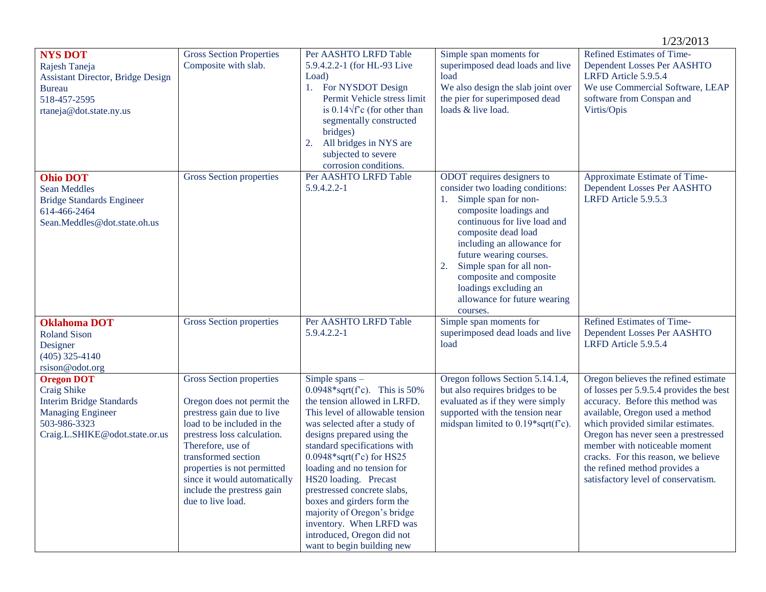|                                                                                                                                                          |                                                                                                                                                                                                                                                                                                                 |                                                                                                                                                                                                                                                                                                                                                                                                                                                                                                   |                                                                                                                                                                                                                                                                                                                                                                 | 1/23/2013                                                                                                                                                                                                                                                                                                                                                                          |
|----------------------------------------------------------------------------------------------------------------------------------------------------------|-----------------------------------------------------------------------------------------------------------------------------------------------------------------------------------------------------------------------------------------------------------------------------------------------------------------|---------------------------------------------------------------------------------------------------------------------------------------------------------------------------------------------------------------------------------------------------------------------------------------------------------------------------------------------------------------------------------------------------------------------------------------------------------------------------------------------------|-----------------------------------------------------------------------------------------------------------------------------------------------------------------------------------------------------------------------------------------------------------------------------------------------------------------------------------------------------------------|------------------------------------------------------------------------------------------------------------------------------------------------------------------------------------------------------------------------------------------------------------------------------------------------------------------------------------------------------------------------------------|
| <b>NYS DOT</b><br>Rajesh Taneja<br><b>Assistant Director, Bridge Design</b><br><b>Bureau</b><br>518-457-2595<br>rtaneja@dot.state.ny.us                  | <b>Gross Section Properties</b><br>Composite with slab.                                                                                                                                                                                                                                                         | Per AASHTO LRFD Table<br>5.9.4.2.2-1 (for HL-93 Live<br>Load)<br>1. For NYSDOT Design<br>Permit Vehicle stress limit<br>is $0.14\sqrt{f}c$ (for other than<br>segmentally constructed<br>bridges)<br>All bridges in NYS are<br>2.<br>subjected to severe<br>corrosion conditions.                                                                                                                                                                                                                 | Simple span moments for<br>superimposed dead loads and live<br>load<br>We also design the slab joint over<br>the pier for superimposed dead<br>loads & live load.                                                                                                                                                                                               | Refined Estimates of Time-<br>Dependent Losses Per AASHTO<br>LRFD Article 5.9.5.4<br>We use Commercial Software, LEAP<br>software from Conspan and<br>Virtis/Opis                                                                                                                                                                                                                  |
| <b>Ohio DOT</b><br><b>Sean Meddles</b><br><b>Bridge Standards Engineer</b><br>614-466-2464<br>Sean.Meddles@dot.state.oh.us                               | Gross Section properties                                                                                                                                                                                                                                                                                        | Per AASHTO LRFD Table<br>$5.9.4.2.2 - 1$                                                                                                                                                                                                                                                                                                                                                                                                                                                          | ODOT requires designers to<br>consider two loading conditions:<br>1. Simple span for non-<br>composite loadings and<br>continuous for live load and<br>composite dead load<br>including an allowance for<br>future wearing courses.<br>Simple span for all non-<br>composite and composite<br>loadings excluding an<br>allowance for future wearing<br>courses. | Approximate Estimate of Time-<br>Dependent Losses Per AASHTO<br>LRFD Article 5.9.5.3                                                                                                                                                                                                                                                                                               |
| <b>Oklahoma DOT</b><br><b>Roland Sison</b><br>Designer<br>$(405)$ 325-4140<br>rsison@odot.org                                                            | Gross Section properties                                                                                                                                                                                                                                                                                        | Per AASHTO LRFD Table<br>5.9.4.2.2-1                                                                                                                                                                                                                                                                                                                                                                                                                                                              | Simple span moments for<br>superimposed dead loads and live<br>load                                                                                                                                                                                                                                                                                             | Refined Estimates of Time-<br>Dependent Losses Per AASHTO<br>LRFD Article 5.9.5.4                                                                                                                                                                                                                                                                                                  |
| <b>Oregon DOT</b><br><b>Craig Shike</b><br><b>Interim Bridge Standards</b><br><b>Managing Engineer</b><br>503-986-3323<br>Craig.L.SHIKE@odot.state.or.us | Gross Section properties<br>Oregon does not permit the<br>prestress gain due to live<br>load to be included in the<br>prestress loss calculation.<br>Therefore, use of<br>transformed section<br>properties is not permitted<br>since it would automatically<br>include the prestress gain<br>due to live load. | Simple spans $-$<br>0.0948*sqrt( $f$ °c). This is 50%<br>the tension allowed in LRFD.<br>This level of allowable tension<br>was selected after a study of<br>designs prepared using the<br>standard specifications with<br>$0.0948*sqrt(f^c)$ for HS25<br>loading and no tension for<br>HS20 loading. Precast<br>prestressed concrete slabs,<br>boxes and girders form the<br>majority of Oregon's bridge<br>inventory. When LRFD was<br>introduced, Oregon did not<br>want to begin building new | Oregon follows Section 5.14.1.4,<br>but also requires bridges to be<br>evaluated as if they were simply<br>supported with the tension near<br>midspan limited to $0.19*sqrt(f)c)$ .                                                                                                                                                                             | Oregon believes the refined estimate<br>of losses per 5.9.5.4 provides the best<br>accuracy. Before this method was<br>available, Oregon used a method<br>which provided similar estimates.<br>Oregon has never seen a prestressed<br>member with noticeable moment<br>cracks. For this reason, we believe<br>the refined method provides a<br>satisfactory level of conservatism. |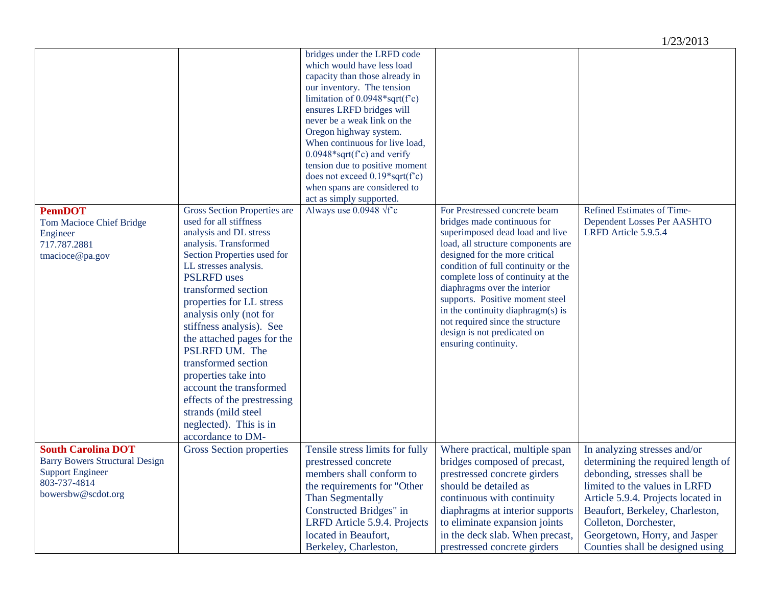|                                                                                                                        |                                                                                                                                                                                                                                                                                                                                                                                                                                                                                                                                                             |                                                                                                                                                                                                                                                                                                                                                                                                                                                                                                                             |                                                                                                                                                                                                                                                                                                                                                                                                                                                                                           | 1/23/2013                                                                                                                                                                                                                                                                  |
|------------------------------------------------------------------------------------------------------------------------|-------------------------------------------------------------------------------------------------------------------------------------------------------------------------------------------------------------------------------------------------------------------------------------------------------------------------------------------------------------------------------------------------------------------------------------------------------------------------------------------------------------------------------------------------------------|-----------------------------------------------------------------------------------------------------------------------------------------------------------------------------------------------------------------------------------------------------------------------------------------------------------------------------------------------------------------------------------------------------------------------------------------------------------------------------------------------------------------------------|-------------------------------------------------------------------------------------------------------------------------------------------------------------------------------------------------------------------------------------------------------------------------------------------------------------------------------------------------------------------------------------------------------------------------------------------------------------------------------------------|----------------------------------------------------------------------------------------------------------------------------------------------------------------------------------------------------------------------------------------------------------------------------|
| <b>PennDOT</b><br>Tom Macioce Chief Bridge<br>Engineer<br>717.787.2881<br>tmacioce@pa.gov<br><b>South Carolina DOT</b> | Gross Section Properties are<br>used for all stiffness<br>analysis and DL stress<br>analysis. Transformed<br>Section Properties used for<br>LL stresses analysis.<br><b>PSLRFD</b> uses<br>transformed section<br>properties for LL stress<br>analysis only (not for<br>stiffness analysis). See<br>the attached pages for the<br>PSLRFD UM. The<br>transformed section<br>properties take into<br>account the transformed<br>effects of the prestressing<br>strands (mild steel<br>neglected). This is in<br>accordance to DM-<br>Gross Section properties | bridges under the LRFD code<br>which would have less load<br>capacity than those already in<br>our inventory. The tension<br>limitation of $0.0948*sqrt(fc)$<br>ensures LRFD bridges will<br>never be a weak link on the<br>Oregon highway system.<br>When continuous for live load,<br>$0.0948*sqrt(f^c)$ and verify<br>tension due to positive moment<br>does not exceed $0.19*sqrt(f c)$<br>when spans are considered to<br>act as simply supported.<br>Always use 0.0948 $\sqrt{r}c$<br>Tensile stress limits for fully | For Prestressed concrete beam<br>bridges made continuous for<br>superimposed dead load and live<br>load, all structure components are<br>designed for the more critical<br>condition of full continuity or the<br>complete loss of continuity at the<br>diaphragms over the interior<br>supports. Positive moment steel<br>in the continuity diaphragm(s) is<br>not required since the structure<br>design is not predicated on<br>ensuring continuity.<br>Where practical, multiple span | Refined Estimates of Time-<br>Dependent Losses Per AASHTO<br>LRFD Article 5.9.5.4<br>In analyzing stresses and/or                                                                                                                                                          |
| <b>Barry Bowers Structural Design</b><br><b>Support Engineer</b><br>803-737-4814<br>bowersbw@scdot.org                 |                                                                                                                                                                                                                                                                                                                                                                                                                                                                                                                                                             | prestressed concrete<br>members shall conform to<br>the requirements for "Other<br>Than Segmentally<br>Constructed Bridges" in<br>LRFD Article 5.9.4. Projects<br>located in Beaufort,<br>Berkeley, Charleston,                                                                                                                                                                                                                                                                                                             | bridges composed of precast,<br>prestressed concrete girders<br>should be detailed as<br>continuous with continuity<br>diaphragms at interior supports<br>to eliminate expansion joints<br>in the deck slab. When precast,<br>prestressed concrete girders                                                                                                                                                                                                                                | determining the required length of<br>debonding, stresses shall be<br>limited to the values in LRFD<br>Article 5.9.4. Projects located in<br>Beaufort, Berkeley, Charleston,<br>Colleton, Dorchester,<br>Georgetown, Horry, and Jasper<br>Counties shall be designed using |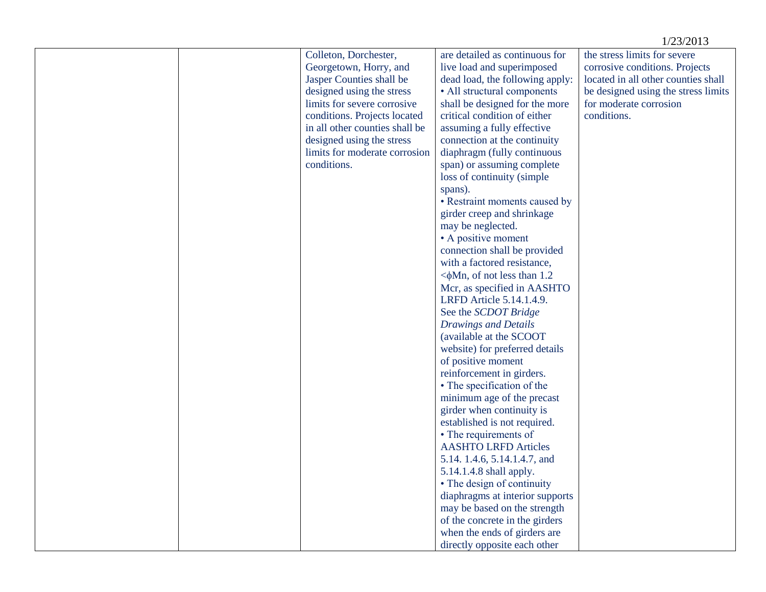|  |                                                                                                                                                                                                                                                                                        |                                                                                                                                                                                                                                                                                                                                                                                                                                                                                                                                                                                                                                                                                                                                     | 1/23/2013                                                                                                                                                                             |
|--|----------------------------------------------------------------------------------------------------------------------------------------------------------------------------------------------------------------------------------------------------------------------------------------|-------------------------------------------------------------------------------------------------------------------------------------------------------------------------------------------------------------------------------------------------------------------------------------------------------------------------------------------------------------------------------------------------------------------------------------------------------------------------------------------------------------------------------------------------------------------------------------------------------------------------------------------------------------------------------------------------------------------------------------|---------------------------------------------------------------------------------------------------------------------------------------------------------------------------------------|
|  | Colleton, Dorchester,<br>Georgetown, Horry, and<br>Jasper Counties shall be<br>designed using the stress<br>limits for severe corrosive<br>conditions. Projects located<br>in all other counties shall be<br>designed using the stress<br>limits for moderate corrosion<br>conditions. | are detailed as continuous for<br>live load and superimposed<br>dead load, the following apply:<br>• All structural components<br>shall be designed for the more<br>critical condition of either<br>assuming a fully effective<br>connection at the continuity<br>diaphragm (fully continuous<br>span) or assuming complete<br>loss of continuity (simple<br>spans).<br>• Restraint moments caused by<br>girder creep and shrinkage<br>may be neglected.<br>• A positive moment<br>connection shall be provided<br>with a factored resistance,<br>$\leq \phi$ Mn, of not less than 1.2<br>Mcr, as specified in AASHTO<br>LRFD Article 5.14.1.4.9.<br>See the SCDOT Bridge<br><b>Drawings and Details</b><br>(available at the SCOOT | the stress limits for severe<br>corrosive conditions. Projects<br>located in all other counties shall<br>be designed using the stress limits<br>for moderate corrosion<br>conditions. |
|  |                                                                                                                                                                                                                                                                                        |                                                                                                                                                                                                                                                                                                                                                                                                                                                                                                                                                                                                                                                                                                                                     |                                                                                                                                                                                       |
|  |                                                                                                                                                                                                                                                                                        |                                                                                                                                                                                                                                                                                                                                                                                                                                                                                                                                                                                                                                                                                                                                     |                                                                                                                                                                                       |
|  |                                                                                                                                                                                                                                                                                        |                                                                                                                                                                                                                                                                                                                                                                                                                                                                                                                                                                                                                                                                                                                                     |                                                                                                                                                                                       |
|  |                                                                                                                                                                                                                                                                                        |                                                                                                                                                                                                                                                                                                                                                                                                                                                                                                                                                                                                                                                                                                                                     |                                                                                                                                                                                       |
|  |                                                                                                                                                                                                                                                                                        |                                                                                                                                                                                                                                                                                                                                                                                                                                                                                                                                                                                                                                                                                                                                     |                                                                                                                                                                                       |
|  |                                                                                                                                                                                                                                                                                        |                                                                                                                                                                                                                                                                                                                                                                                                                                                                                                                                                                                                                                                                                                                                     |                                                                                                                                                                                       |
|  |                                                                                                                                                                                                                                                                                        |                                                                                                                                                                                                                                                                                                                                                                                                                                                                                                                                                                                                                                                                                                                                     |                                                                                                                                                                                       |
|  |                                                                                                                                                                                                                                                                                        |                                                                                                                                                                                                                                                                                                                                                                                                                                                                                                                                                                                                                                                                                                                                     |                                                                                                                                                                                       |
|  |                                                                                                                                                                                                                                                                                        |                                                                                                                                                                                                                                                                                                                                                                                                                                                                                                                                                                                                                                                                                                                                     |                                                                                                                                                                                       |
|  |                                                                                                                                                                                                                                                                                        |                                                                                                                                                                                                                                                                                                                                                                                                                                                                                                                                                                                                                                                                                                                                     |                                                                                                                                                                                       |
|  |                                                                                                                                                                                                                                                                                        |                                                                                                                                                                                                                                                                                                                                                                                                                                                                                                                                                                                                                                                                                                                                     |                                                                                                                                                                                       |
|  |                                                                                                                                                                                                                                                                                        |                                                                                                                                                                                                                                                                                                                                                                                                                                                                                                                                                                                                                                                                                                                                     |                                                                                                                                                                                       |
|  |                                                                                                                                                                                                                                                                                        |                                                                                                                                                                                                                                                                                                                                                                                                                                                                                                                                                                                                                                                                                                                                     |                                                                                                                                                                                       |
|  |                                                                                                                                                                                                                                                                                        |                                                                                                                                                                                                                                                                                                                                                                                                                                                                                                                                                                                                                                                                                                                                     |                                                                                                                                                                                       |
|  |                                                                                                                                                                                                                                                                                        |                                                                                                                                                                                                                                                                                                                                                                                                                                                                                                                                                                                                                                                                                                                                     |                                                                                                                                                                                       |
|  |                                                                                                                                                                                                                                                                                        |                                                                                                                                                                                                                                                                                                                                                                                                                                                                                                                                                                                                                                                                                                                                     |                                                                                                                                                                                       |
|  |                                                                                                                                                                                                                                                                                        |                                                                                                                                                                                                                                                                                                                                                                                                                                                                                                                                                                                                                                                                                                                                     |                                                                                                                                                                                       |
|  |                                                                                                                                                                                                                                                                                        |                                                                                                                                                                                                                                                                                                                                                                                                                                                                                                                                                                                                                                                                                                                                     |                                                                                                                                                                                       |
|  |                                                                                                                                                                                                                                                                                        |                                                                                                                                                                                                                                                                                                                                                                                                                                                                                                                                                                                                                                                                                                                                     |                                                                                                                                                                                       |
|  |                                                                                                                                                                                                                                                                                        |                                                                                                                                                                                                                                                                                                                                                                                                                                                                                                                                                                                                                                                                                                                                     |                                                                                                                                                                                       |
|  |                                                                                                                                                                                                                                                                                        | website) for preferred details                                                                                                                                                                                                                                                                                                                                                                                                                                                                                                                                                                                                                                                                                                      |                                                                                                                                                                                       |
|  |                                                                                                                                                                                                                                                                                        | of positive moment                                                                                                                                                                                                                                                                                                                                                                                                                                                                                                                                                                                                                                                                                                                  |                                                                                                                                                                                       |
|  |                                                                                                                                                                                                                                                                                        | reinforcement in girders.                                                                                                                                                                                                                                                                                                                                                                                                                                                                                                                                                                                                                                                                                                           |                                                                                                                                                                                       |
|  |                                                                                                                                                                                                                                                                                        | • The specification of the                                                                                                                                                                                                                                                                                                                                                                                                                                                                                                                                                                                                                                                                                                          |                                                                                                                                                                                       |
|  |                                                                                                                                                                                                                                                                                        | minimum age of the precast                                                                                                                                                                                                                                                                                                                                                                                                                                                                                                                                                                                                                                                                                                          |                                                                                                                                                                                       |
|  |                                                                                                                                                                                                                                                                                        | girder when continuity is                                                                                                                                                                                                                                                                                                                                                                                                                                                                                                                                                                                                                                                                                                           |                                                                                                                                                                                       |
|  |                                                                                                                                                                                                                                                                                        | established is not required.                                                                                                                                                                                                                                                                                                                                                                                                                                                                                                                                                                                                                                                                                                        |                                                                                                                                                                                       |
|  |                                                                                                                                                                                                                                                                                        | • The requirements of                                                                                                                                                                                                                                                                                                                                                                                                                                                                                                                                                                                                                                                                                                               |                                                                                                                                                                                       |
|  |                                                                                                                                                                                                                                                                                        | <b>AASHTO LRFD Articles</b>                                                                                                                                                                                                                                                                                                                                                                                                                                                                                                                                                                                                                                                                                                         |                                                                                                                                                                                       |
|  |                                                                                                                                                                                                                                                                                        | 5.14. 1.4.6, 5.14.1.4.7, and                                                                                                                                                                                                                                                                                                                                                                                                                                                                                                                                                                                                                                                                                                        |                                                                                                                                                                                       |
|  |                                                                                                                                                                                                                                                                                        | 5.14.1.4.8 shall apply.                                                                                                                                                                                                                                                                                                                                                                                                                                                                                                                                                                                                                                                                                                             |                                                                                                                                                                                       |
|  |                                                                                                                                                                                                                                                                                        | • The design of continuity                                                                                                                                                                                                                                                                                                                                                                                                                                                                                                                                                                                                                                                                                                          |                                                                                                                                                                                       |
|  |                                                                                                                                                                                                                                                                                        | diaphragms at interior supports                                                                                                                                                                                                                                                                                                                                                                                                                                                                                                                                                                                                                                                                                                     |                                                                                                                                                                                       |
|  |                                                                                                                                                                                                                                                                                        | may be based on the strength                                                                                                                                                                                                                                                                                                                                                                                                                                                                                                                                                                                                                                                                                                        |                                                                                                                                                                                       |
|  |                                                                                                                                                                                                                                                                                        | of the concrete in the girders                                                                                                                                                                                                                                                                                                                                                                                                                                                                                                                                                                                                                                                                                                      |                                                                                                                                                                                       |
|  |                                                                                                                                                                                                                                                                                        | when the ends of girders are                                                                                                                                                                                                                                                                                                                                                                                                                                                                                                                                                                                                                                                                                                        |                                                                                                                                                                                       |
|  |                                                                                                                                                                                                                                                                                        | directly opposite each other                                                                                                                                                                                                                                                                                                                                                                                                                                                                                                                                                                                                                                                                                                        |                                                                                                                                                                                       |
|  |                                                                                                                                                                                                                                                                                        |                                                                                                                                                                                                                                                                                                                                                                                                                                                                                                                                                                                                                                                                                                                                     |                                                                                                                                                                                       |